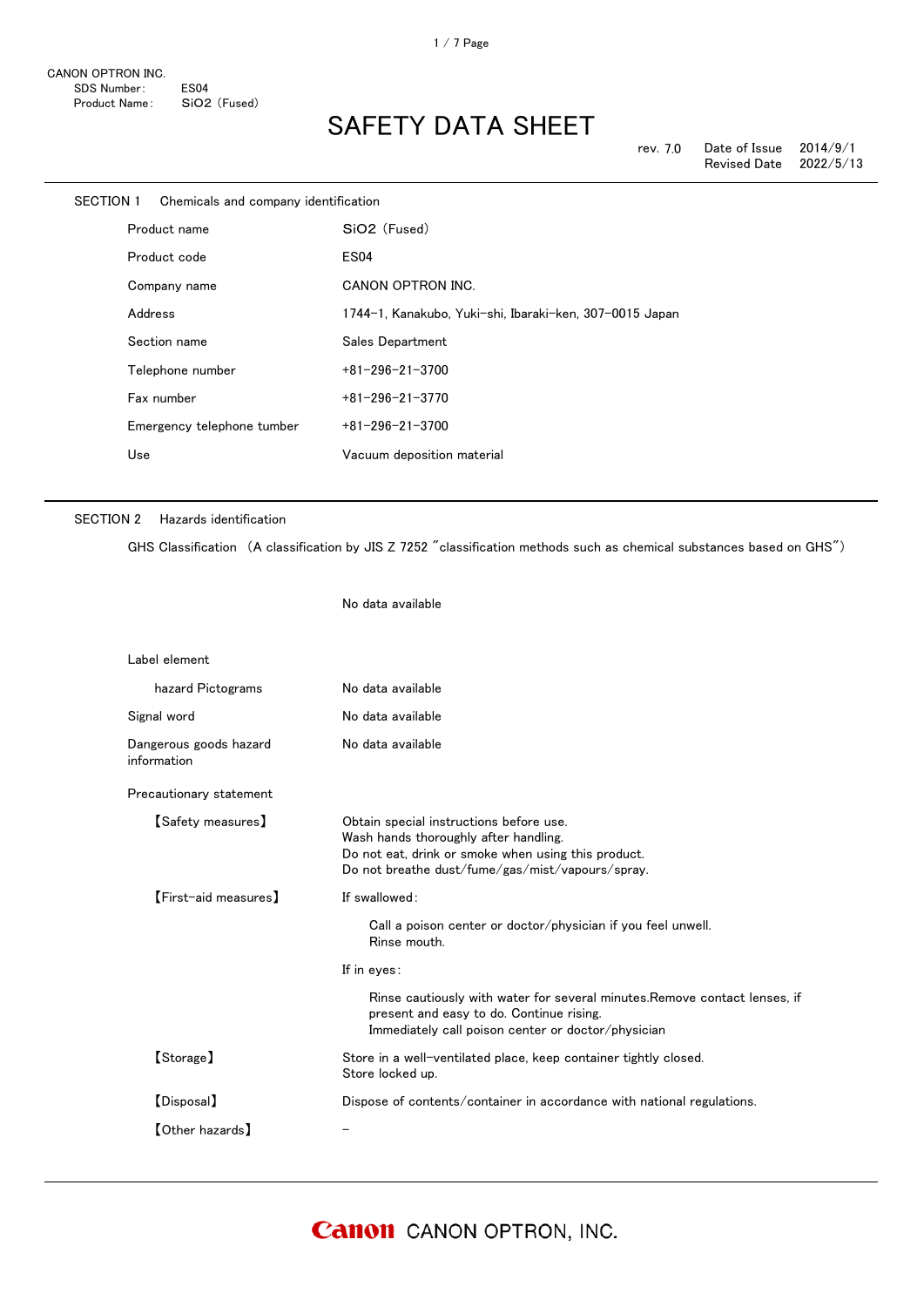| SECTION 1 |         | Chemicals and company identification |                                                         |
|-----------|---------|--------------------------------------|---------------------------------------------------------|
|           |         | Product name                         | SiO <sub>2</sub> (Fused)                                |
|           |         | Product code                         | <b>ES04</b>                                             |
|           |         | Company name                         | CANON OPTRON INC.                                       |
|           | Address |                                      | 1744-1, Kanakubo, Yuki-shi, Ibaraki-ken, 307-0015 Japan |
|           |         | Section name                         | Sales Department                                        |
|           |         | Telephone number                     | $+81 - 296 - 21 - 3700$                                 |
|           |         | Fax number                           | $+81 - 296 - 21 - 3770$                                 |
|           |         | Emergency telephone tumber           | $+81 - 296 - 21 - 3700$                                 |
|           | Use     |                                      | Vacuum deposition material                              |
|           |         |                                      |                                                         |

No data available

#### SECTION 2 Hazards identification

GHS Classification (A classification by JIS Z 7252 "classification methods such as chemical substances based on GHS")

| Label element                         |                                                                                                                                                                                             |
|---------------------------------------|---------------------------------------------------------------------------------------------------------------------------------------------------------------------------------------------|
| hazard Pictograms                     | No data available                                                                                                                                                                           |
| Signal word                           | No data available                                                                                                                                                                           |
| Dangerous goods hazard<br>information | No data available                                                                                                                                                                           |
| Precautionary statement               |                                                                                                                                                                                             |
| <b>【Safety measures】</b>              | Obtain special instructions before use.<br>Wash hands thoroughly after handling.<br>Do not eat, drink or smoke when using this product.<br>Do not breathe dust/fume/gas/mist/vapours/spray. |
| [First-aid measures]                  | If swallowed:                                                                                                                                                                               |
|                                       | Call a poison center or doctor/physician if you feel unwell.<br>Rinse mouth.                                                                                                                |
|                                       | If in eyes:                                                                                                                                                                                 |
|                                       | Rinse cautiously with water for several minutes. Remove contact lenses, if<br>present and easy to do. Continue rising.<br>Immediately call poison center or doctor/physician                |
| [Storage]                             | Store in a well-ventilated place, keep container tightly closed.<br>Store locked up.                                                                                                        |
| [Disposal]                            | Dispose of contents/container in accordance with national regulations.                                                                                                                      |
| <b>[Other hazards]</b>                |                                                                                                                                                                                             |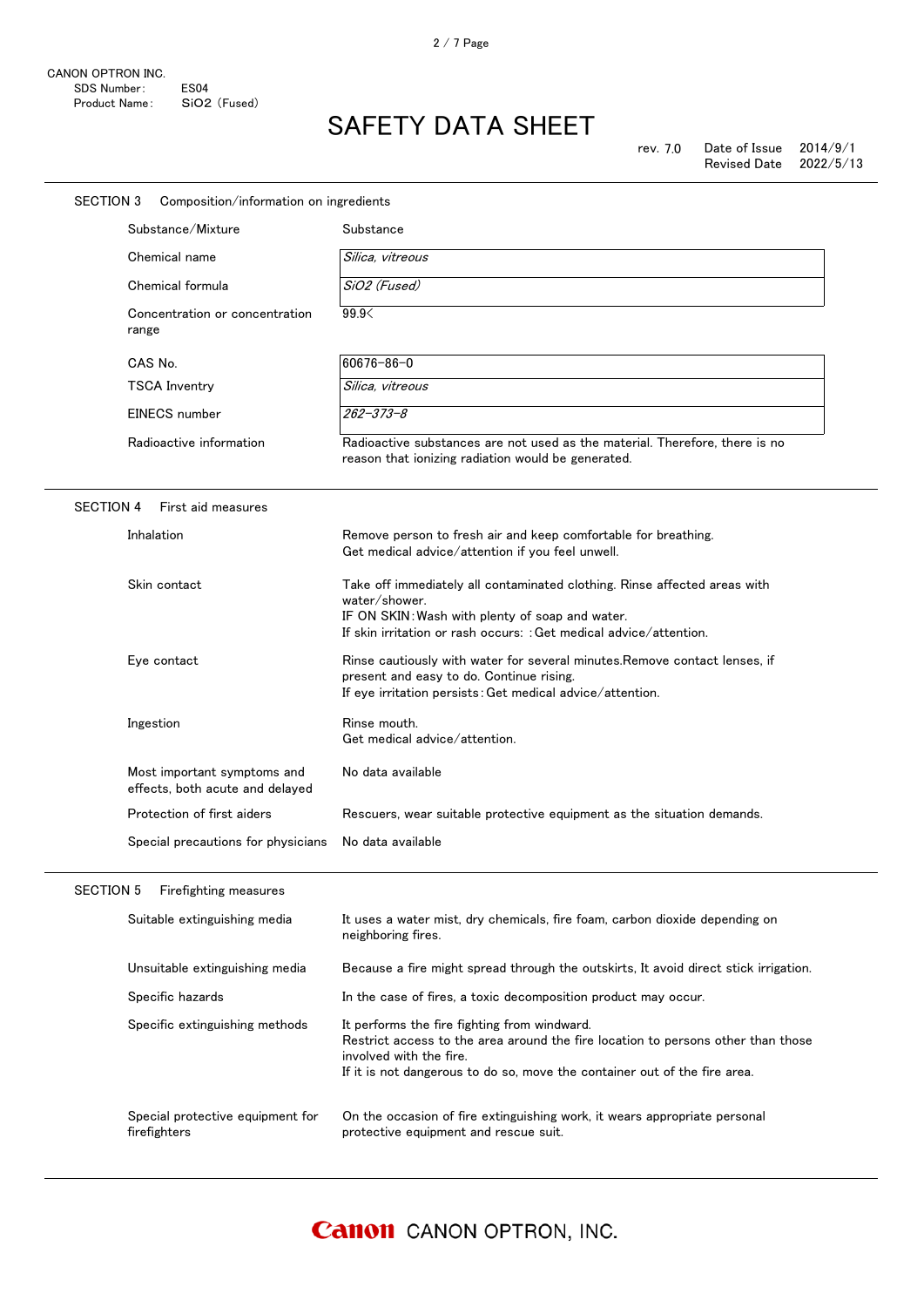| SECTION 3<br>Composition/information on ingredients            |                                                                                                                                                                                                                                          |
|----------------------------------------------------------------|------------------------------------------------------------------------------------------------------------------------------------------------------------------------------------------------------------------------------------------|
| Substance/Mixture                                              | Substance                                                                                                                                                                                                                                |
| Chemical name                                                  | Silica, vitreous                                                                                                                                                                                                                         |
| Chemical formula                                               | SiO2 (Fused)                                                                                                                                                                                                                             |
| Concentration or concentration<br>range                        | 99.9<                                                                                                                                                                                                                                    |
| CAS No.                                                        | 60676-86-0                                                                                                                                                                                                                               |
| <b>TSCA Inventry</b>                                           | Silica, vitreous                                                                                                                                                                                                                         |
| EINECS number                                                  | $262 - 373 - 8$                                                                                                                                                                                                                          |
| Radioactive information                                        | Radioactive substances are not used as the material. Therefore, there is no<br>reason that ionizing radiation would be generated.                                                                                                        |
| <b>SECTION 4</b><br>First aid measures                         |                                                                                                                                                                                                                                          |
| Inhalation                                                     | Remove person to fresh air and keep comfortable for breathing.<br>Get medical advice/attention if you feel unwell.                                                                                                                       |
| Skin contact                                                   | Take off immediately all contaminated clothing. Rinse affected areas with<br>water/shower.<br>IF ON SKIN: Wash with plenty of soap and water.<br>If skin irritation or rash occurs: : Get medical advice/attention.                      |
| Eye contact                                                    | Rinse cautiously with water for several minutes. Remove contact lenses, if<br>present and easy to do. Continue rising.<br>If eye irritation persists: Get medical advice/attention.                                                      |
| Ingestion                                                      | Rinse mouth.<br>Get medical advice/attention.                                                                                                                                                                                            |
| Most important symptoms and<br>effects, both acute and delayed | No data available                                                                                                                                                                                                                        |
| Protection of first aiders                                     | Rescuers, wear suitable protective equipment as the situation demands.                                                                                                                                                                   |
| Special precautions for physicians                             | No data available                                                                                                                                                                                                                        |
| <b>SECTION 5</b><br>Firefighting measures                      |                                                                                                                                                                                                                                          |
| Suitable extinguishing media                                   | It uses a water mist, dry chemicals, fire foam, carbon dioxide depending on<br>neighboring fires.                                                                                                                                        |
| Unsuitable extinguishing media                                 | Because a fire might spread through the outskirts, It avoid direct stick irrigation.                                                                                                                                                     |
| Specific hazards                                               | In the case of fires, a toxic decomposition product may occur.                                                                                                                                                                           |
| Specific extinguishing methods                                 | It performs the fire fighting from windward.<br>Restrict access to the area around the fire location to persons other than those<br>involved with the fire.<br>If it is not dangerous to do so, move the container out of the fire area. |
| Special protective equipment for<br>firefighters               | On the occasion of fire extinguishing work, it wears appropriate personal<br>protective equipment and rescue suit.                                                                                                                       |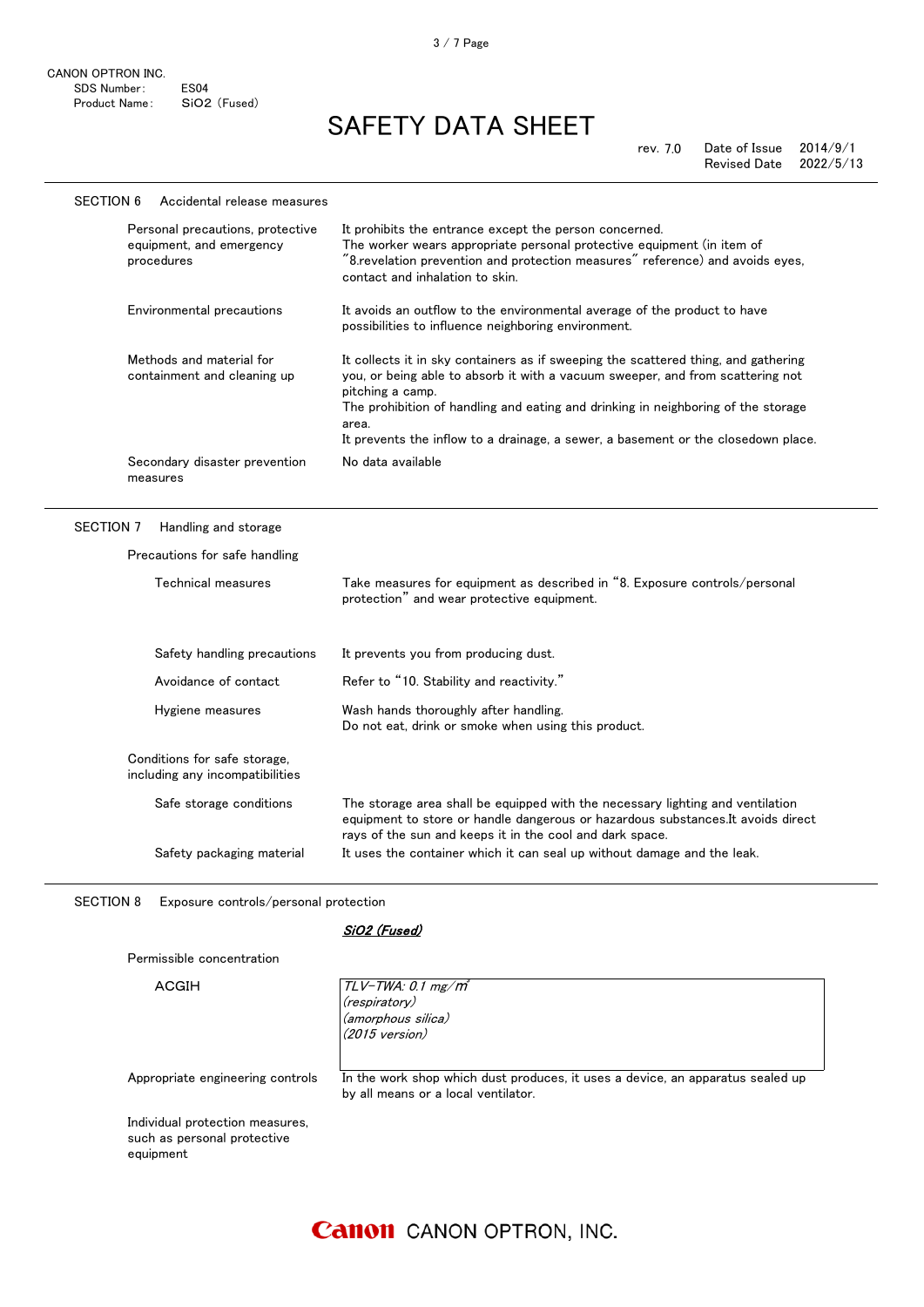| <b>SECTION 6</b><br>Accidental release measures                            |                                                                                                                                                                                                                                                                                                                                                                             |
|----------------------------------------------------------------------------|-----------------------------------------------------------------------------------------------------------------------------------------------------------------------------------------------------------------------------------------------------------------------------------------------------------------------------------------------------------------------------|
| Personal precautions, protective<br>equipment, and emergency<br>procedures | It prohibits the entrance except the person concerned.<br>The worker wears appropriate personal protective equipment (in item of<br>"8.revelation prevention and protection measures" reference) and avoids eyes,<br>contact and inhalation to skin.                                                                                                                        |
| Environmental precautions                                                  | It avoids an outflow to the environmental average of the product to have<br>possibilities to influence neighboring environment.                                                                                                                                                                                                                                             |
| Methods and material for<br>containment and cleaning up                    | It collects it in sky containers as if sweeping the scattered thing, and gathering<br>you, or being able to absorb it with a vacuum sweeper, and from scattering not<br>pitching a camp.<br>The prohibition of handling and eating and drinking in neighboring of the storage<br>area.<br>It prevents the inflow to a drainage, a sewer, a basement or the closedown place. |
| Secondary disaster prevention<br>measures                                  | No data available                                                                                                                                                                                                                                                                                                                                                           |
| <b>SECTION 7</b><br>Handling and storage                                   |                                                                                                                                                                                                                                                                                                                                                                             |
|                                                                            |                                                                                                                                                                                                                                                                                                                                                                             |
| Precautions for safe handling                                              |                                                                                                                                                                                                                                                                                                                                                                             |
| Technical measures                                                         | Take measures for equipment as described in "8. Exposure controls/personal<br>protection" and wear protective equipment.                                                                                                                                                                                                                                                    |
| Safety handling precautions                                                | It prevents you from producing dust.                                                                                                                                                                                                                                                                                                                                        |
| Avoidance of contact                                                       | Refer to "10. Stability and reactivity."                                                                                                                                                                                                                                                                                                                                    |
| Hygiene measures                                                           | Wash hands thoroughly after handling.<br>Do not eat, drink or smoke when using this product.                                                                                                                                                                                                                                                                                |
| Conditions for safe storage,<br>including any incompatibilities            |                                                                                                                                                                                                                                                                                                                                                                             |
| Safe storage conditions                                                    | The storage area shall be equipped with the necessary lighting and ventilation<br>equipment to store or handle dangerous or hazardous substances. It avoids direct<br>rays of the sun and keeps it in the cool and dark space.                                                                                                                                              |

SECTION 8 Exposure controls/personal protection

Permissible concentration

#### SiO2 (Fused)

| ACGIH                                                                       | $TLV$ -TWA: 0.1 mg/m $^{\prime}$<br>(respiratory)<br>(amorphous silica)<br>$(2015 \text{ version})$                   |
|-----------------------------------------------------------------------------|-----------------------------------------------------------------------------------------------------------------------|
| Appropriate engineering controls                                            | In the work shop which dust produces, it uses a device, an apparatus sealed up<br>by all means or a local ventilator. |
| Individual protection measures,<br>such as personal protective<br>equipment |                                                                                                                       |

# 3 / 7 Page

### **Canon** CANON OPTRON, INC.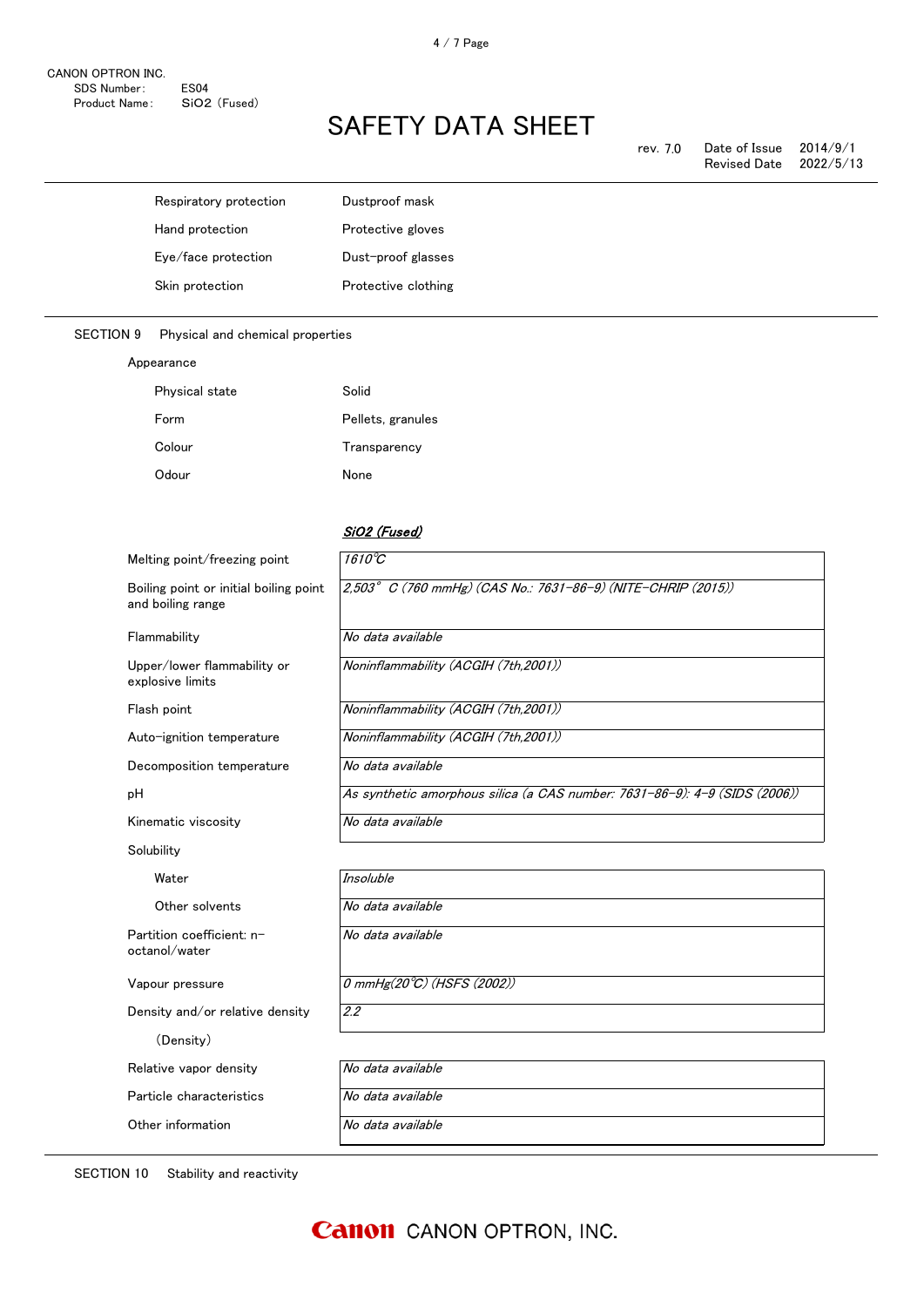|                  | Respiratory protection           | Dustproof mask      |
|------------------|----------------------------------|---------------------|
|                  | Hand protection                  | Protective gloves   |
|                  | Eye/face protection              | Dust-proof glasses  |
|                  | Skin protection                  | Protective clothing |
|                  |                                  |                     |
| <b>SECTION 9</b> | Physical and chemical properties |                     |
|                  | Appearance                       |                     |
|                  | Physical state                   | <b>Solid</b>        |

| <b>Physical state</b> | Solid             |
|-----------------------|-------------------|
| Form                  | Pellets, granules |
| Colour                | Transparency      |
| Odour                 | None              |

### SiO2 (Fused)

| Melting point/freezing point                                | $1610^{\circ}C$                                                            |
|-------------------------------------------------------------|----------------------------------------------------------------------------|
| Boiling point or initial boiling point<br>and boiling range | 2,503° C (760 mmHg) (CAS No.: 7631-86-9) (NITE-CHRIP (2015))               |
| Flammability                                                | No data available                                                          |
| Upper/lower flammability or<br>explosive limits             | Noninflammability (ACGIH (7th,2001))                                       |
| Flash point                                                 | Noninflammability (ACGIH (7th,2001))                                       |
| Auto-ignition temperature                                   | Noninflammability (ACGIH (7th,2001))                                       |
| Decomposition temperature                                   | No data available                                                          |
| pH                                                          | As synthetic amorphous silica (a CAS number: 7631-86-9): 4-9 (SIDS (2006)) |
| Kinematic viscosity                                         | No data available                                                          |
| Solubility                                                  |                                                                            |
| Water                                                       | <b>Insoluble</b>                                                           |
| Other solvents                                              | No data available                                                          |
| Partition coefficient: n-<br>octanol/water                  | No data available                                                          |
| Vapour pressure                                             | 0 mmHg(20°C) (HSFS (2002))                                                 |
| Density and/or relative density                             | 2.2                                                                        |
| (Density)                                                   |                                                                            |
| Relative vapor density                                      | No data available                                                          |
| Particle characteristics                                    | No data available                                                          |
| Other information                                           | No data available                                                          |

SECTION 10 Stability and reactivity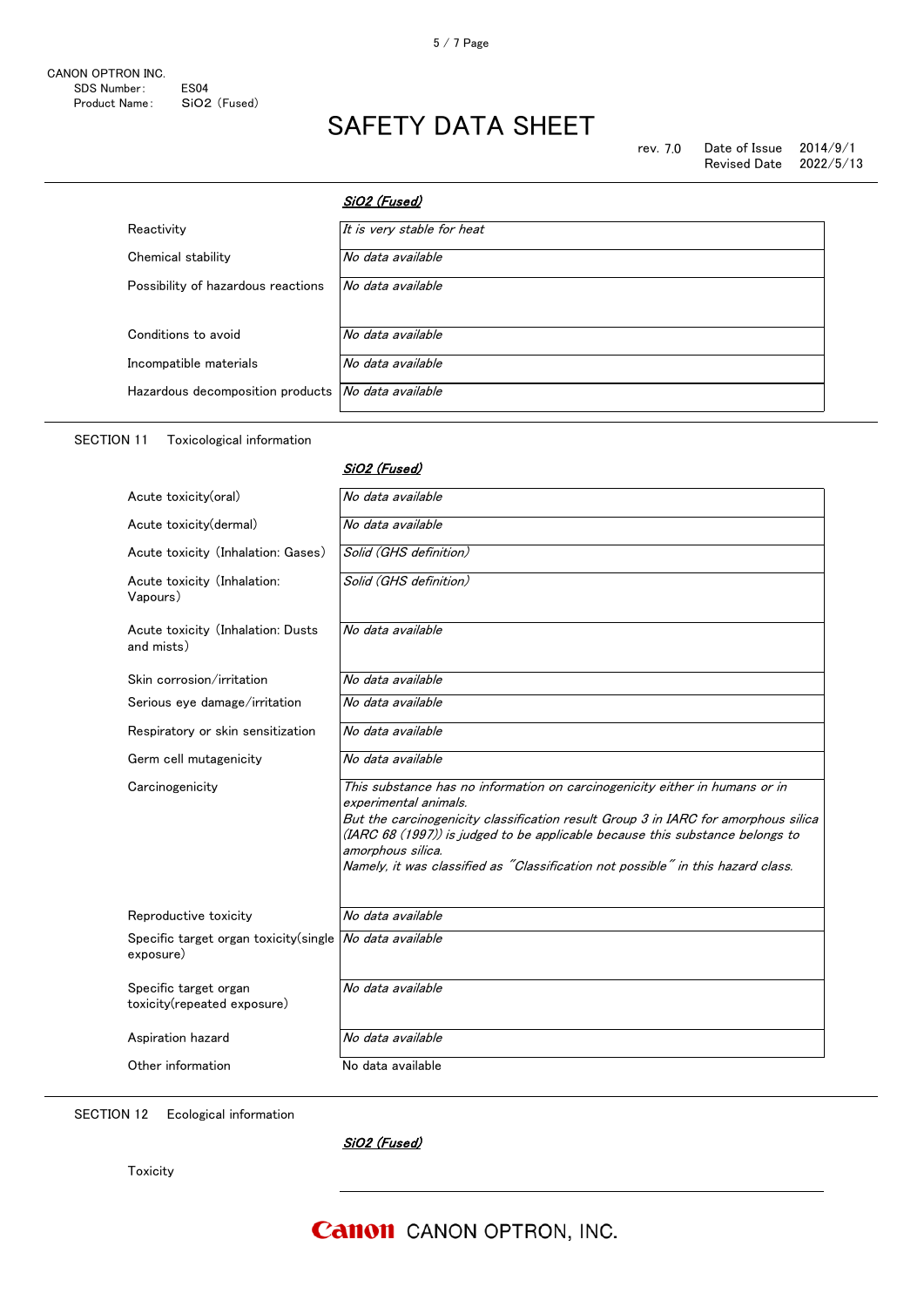| rev. 7.0 | Date of Issue | 2014/9/1  |
|----------|---------------|-----------|
|          | Revised Date  | 2022/5/13 |

|                                    | SiO2 (Fused)               |
|------------------------------------|----------------------------|
| Reactivity                         | It is very stable for heat |
| Chemical stability                 | No data available          |
| Possibility of hazardous reactions | No data available          |
| Conditions to avoid                | No data available          |
| Incompatible materials             | No data available          |
| Hazardous decomposition products   | No data available          |

SiO2 (Fused)

#### SECTION 11 Toxicological information

| Acute toxicity(oral)                                 | No data available                                                                                                                                                                                                                                                                                                                                                                    |
|------------------------------------------------------|--------------------------------------------------------------------------------------------------------------------------------------------------------------------------------------------------------------------------------------------------------------------------------------------------------------------------------------------------------------------------------------|
| Acute toxicity(dermal)                               | No data available                                                                                                                                                                                                                                                                                                                                                                    |
| Acute toxicity (Inhalation: Gases)                   | Solid (GHS definition)                                                                                                                                                                                                                                                                                                                                                               |
| Acute toxicity (Inhalation:<br>Vapours)              | Solid (GHS definition)                                                                                                                                                                                                                                                                                                                                                               |
| Acute toxicity (Inhalation: Dusts<br>and mists)      | No data available                                                                                                                                                                                                                                                                                                                                                                    |
| Skin corrosion/irritation                            | No data available                                                                                                                                                                                                                                                                                                                                                                    |
| Serious eye damage/irritation                        | No data available                                                                                                                                                                                                                                                                                                                                                                    |
| Respiratory or skin sensitization                    | No data available                                                                                                                                                                                                                                                                                                                                                                    |
| Germ cell mutagenicity                               | No data available                                                                                                                                                                                                                                                                                                                                                                    |
| Carcinogenicity                                      | This substance has no information on carcinogenicity either in humans or in<br>experimental animals.<br>But the carcinogenicity classification result Group 3 in IARC for amorphous silica<br>(IARC 68 (1997)) is judged to be applicable because this substance belongs to<br>amorphous silica.<br>Namely, it was classified as "Classification not possible" in this hazard class. |
| Reproductive toxicity                                | No data available                                                                                                                                                                                                                                                                                                                                                                    |
| Specific target organ toxicity (single<br>exposure)  | No data available                                                                                                                                                                                                                                                                                                                                                                    |
| Specific target organ<br>toxicity(repeated exposure) | No data available                                                                                                                                                                                                                                                                                                                                                                    |
| Aspiration hazard                                    | No data available                                                                                                                                                                                                                                                                                                                                                                    |
| Other information                                    | No data available                                                                                                                                                                                                                                                                                                                                                                    |

SECTION 12 Ecological information

SiO2 (Fused)

**Toxicity**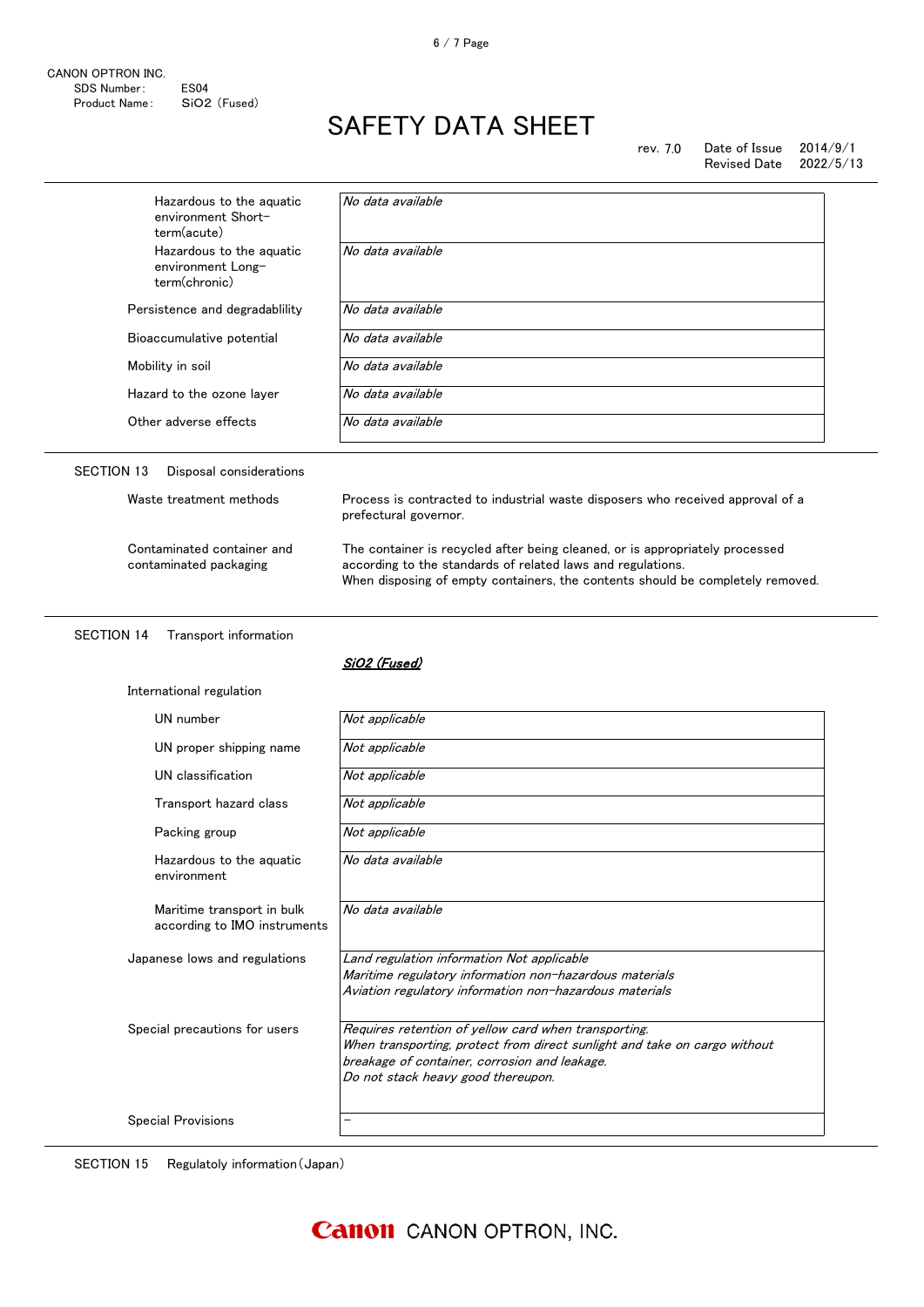| Hazardous to the aguatic<br>environment Short-<br>term(acute)  | No data available |
|----------------------------------------------------------------|-------------------|
| Hazardous to the aguatic<br>environment Long-<br>term(chronic) | No data available |
| Persistence and degradability                                  | No data available |
| Bioaccumulative potential                                      | No data available |
| Mobility in soil                                               | No data available |
| Hazard to the ozone layer                                      | No data available |
| Other adverse effects                                          | No data available |

| Waste treatment methods                              | Process is contracted to industrial waste disposers who received approval of a<br>prefectural governor.                                                                                                                       |
|------------------------------------------------------|-------------------------------------------------------------------------------------------------------------------------------------------------------------------------------------------------------------------------------|
| Contaminated container and<br>contaminated packaging | The container is recycled after being cleaned, or is appropriately processed<br>according to the standards of related laws and regulations.<br>When disposing of empty containers, the contents should be completely removed. |

#### SECTION 14 Transport information

#### SiO2 (Fused)

| International regulation                                   |                                                                                                                                                                                                                          |
|------------------------------------------------------------|--------------------------------------------------------------------------------------------------------------------------------------------------------------------------------------------------------------------------|
| UN number                                                  | Not applicable                                                                                                                                                                                                           |
| UN proper shipping name                                    | Not applicable                                                                                                                                                                                                           |
| UN classification                                          | Not applicable                                                                                                                                                                                                           |
| Transport hazard class                                     | Not applicable                                                                                                                                                                                                           |
| Packing group                                              | Not applicable                                                                                                                                                                                                           |
| Hazardous to the aquatic<br>environment                    | No data available                                                                                                                                                                                                        |
| Maritime transport in bulk<br>according to IMO instruments | No data available                                                                                                                                                                                                        |
| Japanese lows and regulations                              | Land regulation information Not applicable<br>Maritime regulatory information non-hazardous materials<br>Aviation regulatory information non-hazardous materials                                                         |
| Special precautions for users                              | Requires retention of yellow card when transporting.<br>When transporting, protect from direct sunlight and take on cargo without<br>breakage of container, corrosion and leakage.<br>Do not stack heavy good thereupon. |
| <b>Special Provisions</b>                                  | -                                                                                                                                                                                                                        |

SECTION 15 Regulatoly information(Japan)